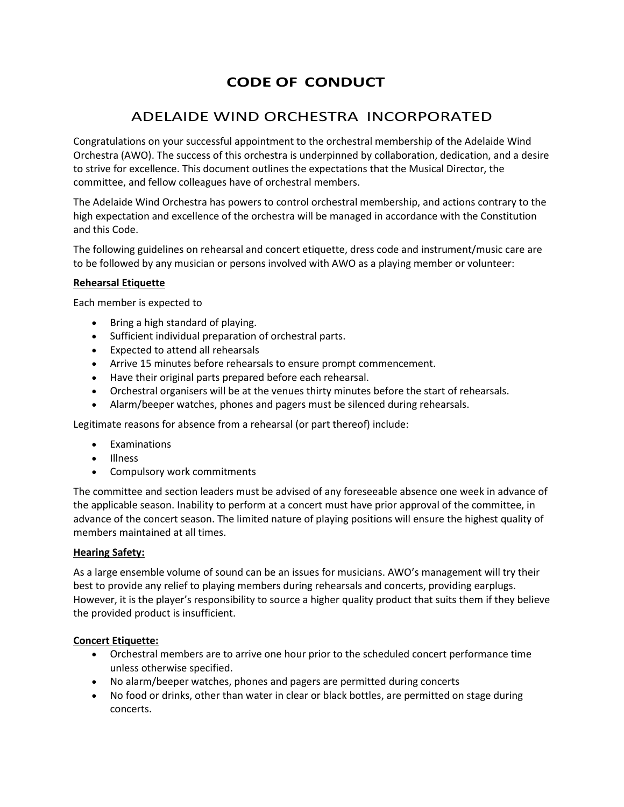# **CODE OF CONDUCT**

# ADELAIDE WIND ORCHESTRA INCORPORATED

Congratulations on your successful appointment to the orchestral membership of the Adelaide Wind Orchestra (AWO). The success of this orchestra is underpinned by collaboration, dedication, and a desire to strive for excellence. This document outlines the expectations that the Musical Director, the committee, and fellow colleagues have of orchestral members.

The Adelaide Wind Orchestra has powers to control orchestral membership, and actions contrary to the high expectation and excellence of the orchestra will be managed in accordance with the Constitution and this Code.

The following guidelines on rehearsal and concert etiquette, dress code and instrument/music care are to be followed by any musician or persons involved with AWO as a playing member or volunteer:

### **Rehearsal Etiquette**

Each member is expected to

- Bring a high standard of playing.
- Sufficient individual preparation of orchestral parts.
- Expected to attend all rehearsals
- Arrive 15 minutes before rehearsals to ensure prompt commencement.
- Have their original parts prepared before each rehearsal.
- Orchestral organisers will be at the venues thirty minutes before the start of rehearsals.
- Alarm/beeper watches, phones and pagers must be silenced during rehearsals.

Legitimate reasons for absence from a rehearsal (or part thereof) include:

- Examinations
- Illness
- Compulsory work commitments

The committee and section leaders must be advised of any foreseeable absence one week in advance of the applicable season. Inability to perform at a concert must have prior approval of the committee, in advance of the concert season. The limited nature of playing positions will ensure the highest quality of members maintained at all times.

#### **Hearing Safety:**

As a large ensemble volume of sound can be an issues for musicians. AWO's management will try their best to provide any relief to playing members during rehearsals and concerts, providing earplugs. However, it is the player's responsibility to source a higher quality product that suits them if they believe the provided product is insufficient.

#### **Concert Etiquette:**

- Orchestral members are to arrive one hour prior to the scheduled concert performance time unless otherwise specified.
- No alarm/beeper watches, phones and pagers are permitted during concerts
- No food or drinks, other than water in clear or black bottles, are permitted on stage during concerts.